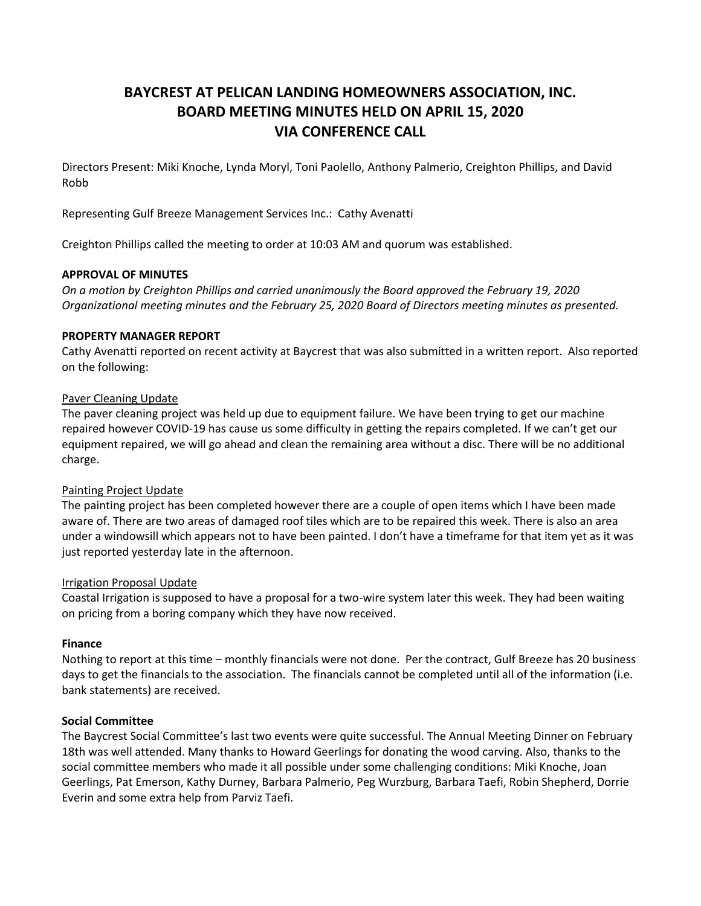# **BAYCREST AT PELICAN LANDING HOMEOWNERS ASSOCIATION, INC. BOARD MEETING MINUTES HELD ON APRIL 15, 2020 VIA CONFERENCE CALL**

Directors Present: Miki Knoche, Lynda Moryl, Toni Paolello, Anthony Palmerio, Creighton Phillips, and David Robb

Representing Gulf Breeze Management Services Inc.: Cathy Avenatti

Creighton Phillips called the meeting to order at 10:03 AM and quorum was established.

## **APPROVAL OF MINUTES**

*On a motion by Creighton Phillips and carried unanimously the Board approved the February 19, 2020 Organizational meeting minutes and the February 25, 2020 Board of Directors meeting minutes as presented.*

## **PROPERTY MANAGER REPORT**

Cathy Avenatti reported on recent activity at Baycrest that was also submitted in a written report. Also reported on the following:

## Paver Cleaning Update

The paver cleaning project was held up due to equipment failure. We have been trying to get our machine repaired however COVID-19 has cause us some difficulty in getting the repairs completed. If we can't get our equipment repaired, we will go ahead and clean the remaining area without a disc. There will be no additional charge.

#### Painting Project Update

The painting project has been completed however there are a couple of open items which I have been made aware of. There are two areas of damaged roof tiles which are to be repaired this week. There is also an area under a windowsill which appears not to have been painted. I don't have a timeframe for that item yet as it was just reported yesterday late in the afternoon.

#### Irrigation Proposal Update

Coastal Irrigation is supposed to have a proposal for a two-wire system later this week. They had been waiting on pricing from a boring company which they have now received.

#### **Finance**

Nothing to report at this time – monthly financials were not done. Per the contract, Gulf Breeze has 20 business days to get the financials to the association. The financials cannot be completed until all of the information (i.e. bank statements) are received.

#### **Social Committee**

The Baycrest Social Committee's last two events were quite successful. The Annual Meeting Dinner on February 18th was well attended. Many thanks to Howard Geerlings for donating the wood carving. Also, thanks to the social committee members who made it all possible under some challenging conditions: Miki Knoche, Joan Geerlings, Pat Emerson, Kathy Durney, Barbara Palmerio, Peg Wurzburg, Barbara Taefi, Robin Shepherd, Dorrie Everin and some extra help from Parviz Taefi.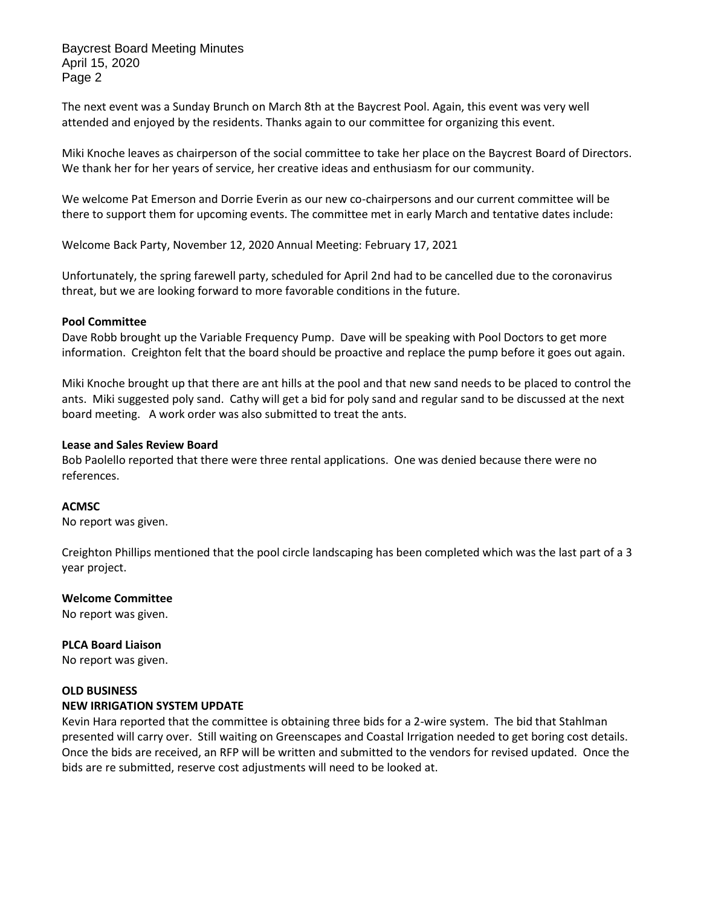Baycrest Board Meeting Minutes April 15, 2020 Page 2

The next event was a Sunday Brunch on March 8th at the Baycrest Pool. Again, this event was very well attended and enjoyed by the residents. Thanks again to our committee for organizing this event.

Miki Knoche leaves as chairperson of the social committee to take her place on the Baycrest Board of Directors. We thank her for her years of service, her creative ideas and enthusiasm for our community.

We welcome Pat Emerson and Dorrie Everin as our new co-chairpersons and our current committee will be there to support them for upcoming events. The committee met in early March and tentative dates include:

Welcome Back Party, November 12, 2020 Annual Meeting: February 17, 2021

Unfortunately, the spring farewell party, scheduled for April 2nd had to be cancelled due to the coronavirus threat, but we are looking forward to more favorable conditions in the future.

#### **Pool Committee**

Dave Robb brought up the Variable Frequency Pump. Dave will be speaking with Pool Doctors to get more information. Creighton felt that the board should be proactive and replace the pump before it goes out again.

Miki Knoche brought up that there are ant hills at the pool and that new sand needs to be placed to control the ants. Miki suggested poly sand. Cathy will get a bid for poly sand and regular sand to be discussed at the next board meeting. A work order was also submitted to treat the ants.

#### **Lease and Sales Review Board**

Bob Paolello reported that there were three rental applications. One was denied because there were no references.

# **ACMSC**

No report was given.

Creighton Phillips mentioned that the pool circle landscaping has been completed which was the last part of a 3 year project.

#### **Welcome Committee**

No report was given.

# **PLCA Board Liaison**

No report was given.

# **OLD BUSINESS**

#### **NEW IRRIGATION SYSTEM UPDATE**

Kevin Hara reported that the committee is obtaining three bids for a 2-wire system. The bid that Stahlman presented will carry over. Still waiting on Greenscapes and Coastal Irrigation needed to get boring cost details. Once the bids are received, an RFP will be written and submitted to the vendors for revised updated. Once the bids are re submitted, reserve cost adjustments will need to be looked at.